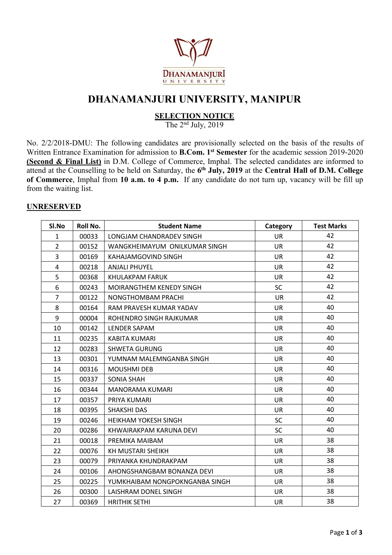

## **DHANAMANJURI UNIVERSITY, MANIPUR**

### **SELECTION NOTICE**

The 2 nd July, 2019

No. 2/2/2018-DMU: The following candidates are provisionally selected on the basis of the results of Written Entrance Examination for admission to **B.Com. 1 st Semester** for the academic session 2019-2020 **(Second & Final List)** in D.M. College of Commerce, Imphal. The selected candidates are informed to attend at the Counselling to be held on Saturday, the **6 th July, 2019** at the **Central Hall of D.M. College of Commerce**, Imphal from **10 a.m. to 4 p.m.** If any candidate do not turn up, vacancy will be fill up from the waiting list.

#### **UNRESERVED**

| SI.No          | Roll No. | <b>Student Name</b>            | Category  | <b>Test Marks</b> |
|----------------|----------|--------------------------------|-----------|-------------------|
| $\mathbf{1}$   | 00033    | LONGJAM CHANDRADEV SINGH       | <b>UR</b> | 42                |
| $\overline{2}$ | 00152    | WANGKHEIMAYUM ONILKUMAR SINGH  | <b>UR</b> | 42                |
| $\overline{3}$ | 00169    | KAHAJAMGOVIND SINGH            | UR        | 42                |
| $\overline{4}$ | 00218    | <b>ANJALI PHUYEL</b>           | <b>UR</b> | 42                |
| 5              | 00368    | KHULAKPAM FARUK                | <b>UR</b> | 42                |
| 6              | 00243    | MOIRANGTHEM KENEDY SINGH       | <b>SC</b> | 42                |
| $\overline{7}$ | 00122    | NONGTHOMBAM PRACHI             | <b>UR</b> | 42                |
| 8              | 00164    | RAM PRAVESH KUMAR YADAV        | <b>UR</b> | 40                |
| 9              | 00004    | ROHENDRO SINGH RAJKUMAR        | <b>UR</b> | 40                |
| 10             | 00142    | LENDER SAPAM                   | <b>UR</b> | 40                |
| 11             | 00235    | <b>KABITA KUMARI</b>           | <b>UR</b> | 40                |
| 12             | 00283    | <b>SHWETA GURUNG</b>           | <b>UR</b> | 40                |
| 13             | 00301    | YUMNAM MALEMNGANBA SINGH       | <b>UR</b> | 40                |
| 14             | 00316    | <b>MOUSHMI DEB</b>             | <b>UR</b> | 40                |
| 15             | 00337    | <b>SONIA SHAH</b>              | <b>UR</b> | 40                |
| 16             | 00344    | <b>MANORAMA KUMARI</b>         | <b>UR</b> | 40                |
| 17             | 00357    | PRIYA KUMARI                   | <b>UR</b> | 40                |
| 18             | 00395    | SHAKSHI DAS                    | <b>UR</b> | 40                |
| 19             | 00246    | <b>HEIKHAM YOKESH SINGH</b>    | <b>SC</b> | 40                |
| 20             | 00286    | KHWAIRAKPAM KARUNA DEVI        | <b>SC</b> | 40                |
| 21             | 00018    | PREMIKA MAIBAM                 | <b>UR</b> | 38                |
| 22             | 00076    | KH MUSTARI SHEIKH              | <b>UR</b> | 38                |
| 23             | 00079    | PRIYANKA KHUNDRAKPAM           | <b>UR</b> | 38                |
| 24             | 00106    | AHONGSHANGBAM BONANZA DEVI     | <b>UR</b> | 38                |
| 25             | 00225    | YUMKHAIBAM NONGPOKNGANBA SINGH | <b>UR</b> | 38                |
| 26             | 00300    | LAISHRAM DONEL SINGH           | <b>UR</b> | 38                |
| 27             | 00369    | <b>HRITHIK SETHI</b>           | <b>UR</b> | 38                |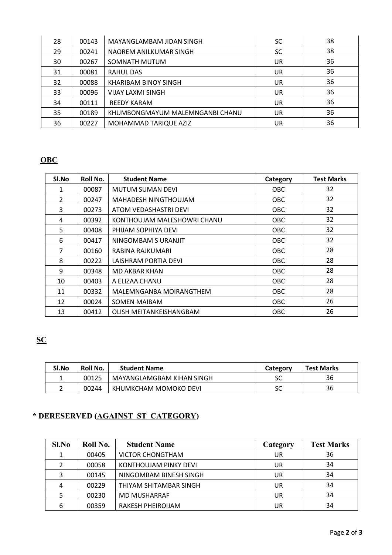| 28 | 00143 | MAYANGLAMBAM JIDAN SINGH        | <b>SC</b> | 38 |  |
|----|-------|---------------------------------|-----------|----|--|
| 29 | 00241 | NAOREM ANILKUMAR SINGH          | SC.       | 38 |  |
| 30 | 00267 | SOMNATH MUTUM                   | UR        | 36 |  |
| 31 | 00081 | RAHUL DAS                       | UR        | 36 |  |
| 32 | 00088 | KHARIBAM BINOY SINGH            | UR        | 36 |  |
| 33 | 00096 | <b>VIJAY LAXMI SINGH</b>        | UR        | 36 |  |
| 34 | 00111 | <b>REEDY KARAM</b>              | UR        | 36 |  |
| 35 | 00189 | KHUMBONGMAYUM MALEMNGANBI CHANU | UR        | 36 |  |
| 36 | 00227 | MOHAMMAD TARIQUE AZIZ           | UR        | 36 |  |

### **OBC**

| SI.No          | Roll No. | <b>Student Name</b>         | Category   | <b>Test Marks</b> |
|----------------|----------|-----------------------------|------------|-------------------|
| $\mathbf{1}$   | 00087    | <b>MUTUM SUMAN DEVI</b>     | OBC.       | 32                |
| $\overline{2}$ | 00247    | <b>MAHADESH NINGTHOUJAM</b> | <b>OBC</b> | 32                |
| 3              | 00273    | ATOM VEDASHASTRI DEVI       | OBC.       | 32                |
| 4              | 00392    | KONTHOUJAM MALESHOWRI CHANU | OBC.       | 32                |
| 5              | 00408    | PHIJAM SOPHIYA DEVI         | <b>OBC</b> | 32                |
| 6              | 00417    | NINGOMBAM S URANJIT         | <b>OBC</b> | 32                |
| 7              | 00160    | RABINA RAJKUMARI            | <b>OBC</b> | 28                |
| 8              | 00222    | LAISHRAM PORTIA DEVI        | <b>OBC</b> | 28                |
| 9              | 00348    | MD AKBAR KHAN               | <b>OBC</b> | 28                |
| 10             | 00403    | A ELIZAA CHANU              | OBC.       | 28                |
| 11             | 00332    | MALEMNGANBA MOIRANGTHEM     | OBC.       | 28                |
| 12             | 00024    | <b>SOMEN MAIBAM</b>         | <b>OBC</b> | 26                |
| 13             | 00412    | OLISH MEITANKEISHANGBAM     | OBC.       | 26                |

# **SC**

| SI.No | <b>Roll No.</b> | <b>Student Name</b>       | Category             | <b>Test Marks</b> |
|-------|-----------------|---------------------------|----------------------|-------------------|
|       | 00125           | MAYANGLAMGBAM KIHAN SINGH | JL.                  | 36                |
|       | 00244           | KHUMKCHAM MOMOKO DEVI     | $\sim$ $\sim$<br>JL. | 36                |

# **\* DERESERVED (AGAINST ST CATEGORY)**

| $Sl$ . No | Roll No. | <b>Student Name</b>     | Category | <b>Test Marks</b> |
|-----------|----------|-------------------------|----------|-------------------|
|           | 00405    | <b>VICTOR CHONGTHAM</b> | UR.      | 36                |
|           | 00058    | KONTHOUJAM PINKY DEVI   | UR.      | 34                |
|           | 00145    | NINGOMBAM BINESH SINGH  | UR.      | 34                |
| 4         | 00229    | THIYAM SHITAMBAR SINGH  | UR.      | 34                |
|           | 00230    | <b>MD MUSHARRAF</b>     | UR.      | 34                |
| 6         | 00359    | RAKESH PHEIROIJAM       | UR       | 34                |